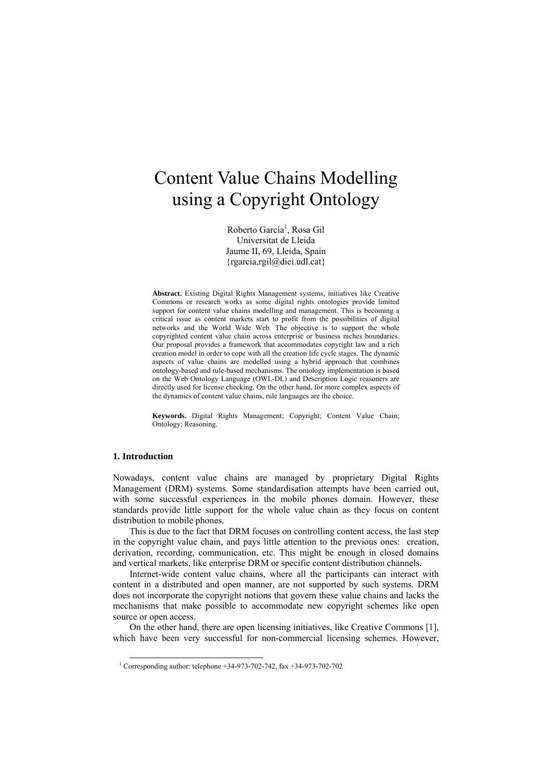# Content Value Chains Modelling using a Copyright Ontology

Roberto García<sup>1</sup>, Rosa Gil Universitat de Lleida Jaume II, 69, Lleida, Spain {rgarcia,rgil@diei.udl.cat}

**Abstract.** Existing Digital Rights Management systems, initiatives like Creative Commons or research works as some digital rights ontologies provide limited support for content value chains modelling and management. This is becoming a critical issue as content markets start to profit from the possibilities of digital networks and the World Wide Web. The objective is to support the whole copyrighted content value chain across enterprise or business niches boundaries. Our proposal provides a framework that accommodates copyright law and a rich creation model in order to cope with all the creation life cycle stages. The dynamic aspects of value chains are modelled using a hybrid approach that combines ontology-based and rule-based mechanisms. The ontology implementation is based on the Web Ontology Language (OWL-DL) and Description Logic reasoners are directly used for license checking. On the other hand, for more complex aspects of the dynamics of content value chains, rule languages are the choice.

**Keywords.** Digital Rights Management; Copyright; Content Value Chain; Ontology; Reasoning.

# **1. Introduction**

Nowadays, content value chains are managed by proprietary Digital Rights Management (DRM) systems. Some standardisation attempts have been carried out, with some successful experiences in the mobile phones domain. However, these standards provide little support for the whole value chain as they focus on content distribution to mobile phones.

This is due to the fact that DRM focuses on controlling content access, the last step in the copyright value chain, and pays little attention to the previous ones: creation, derivation, recording, communication, etc. This might be enough in closed domains and vertical markets, like enterprise DRM or specific content distribution channels.

Internet-wide content value chains, where all the participants can interact with content in a distributed and open manner, are not supported by such systems. DRM does not incorporate the copyright notions that govern these value chains and lacks the mechanisms that make possible to accommodate new copyright schemes like open source or open access.

On the other hand, there are open licensing initiatives, like Creative Commons [1], which have been very successful for non-commercial licensing schemes. However,

<sup>&</sup>lt;sup>1</sup> Corresponding author: telephone +34-973-702-742, fax +34-973-702-702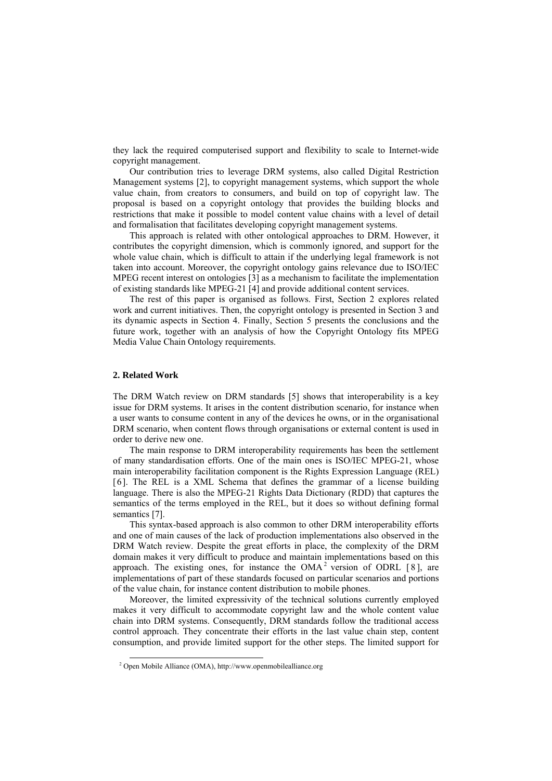they lack the required computerised support and flexibility to scale to Internet-wide copyright management.

Our contribution tries to leverage DRM systems, also called Digital Restriction Management systems [2], to copyright management systems, which support the whole value chain, from creators to consumers, and build on top of copyright law. The proposal is based on a copyright ontology that provides the building blocks and restrictions that make it possible to model content value chains with a level of detail and formalisation that facilitates developing copyright management systems.

This approach is related with other ontological approaches to DRM. However, it contributes the copyright dimension, which is commonly ignored, and support for the whole value chain, which is difficult to attain if the underlying legal framework is not taken into account. Moreover, the copyright ontology gains relevance due to ISO/IEC MPEG recent interest on ontologies [3] as a mechanism to facilitate the implementation of existing standards like MPEG-21 [4] and provide additional content services.

The rest of this paper is organised as follows. First, Section 2 explores related work and current initiatives. Then, the copyright ontology is presented in Section 3 and its dynamic aspects in Section 4. Finally, Section 5 presents the conclusions and the future work, together with an analysis of how the Copyright Ontology fits MPEG Media Value Chain Ontology requirements.

## **2. Related Work**

The DRM Watch review on DRM standards [5] shows that interoperability is a key issue for DRM systems. It arises in the content distribution scenario, for instance when a user wants to consume content in any of the devices he owns, or in the organisational DRM scenario, when content flows through organisations or external content is used in order to derive new one.

The main response to DRM interoperability requirements has been the settlement of many standardisation efforts. One of the main ones is ISO/IEC MPEG-21, whose main interoperability facilitation component is the Rights Expression Language (REL) [6]. The REL is a XML Schema that defines the grammar of a license building language. There is also the MPEG-21 Rights Data Dictionary (RDD) that captures the semantics of the terms employed in the REL, but it does so without defining formal semantics [7].

This syntax-based approach is also common to other DRM interoperability efforts and one of main causes of the lack of production implementations also observed in the DRM Watch review. Despite the great efforts in place, the complexity of the DRM domain makes it very difficult to produce and maintain implementations based on this approach. The existing ones, for instance the  $OMA<sup>2</sup>$  version of ODRL [8], are implementations of part of these standards focused on particular scenarios and portions of the value chain, for instance content distribution to mobile phones.

Moreover, the limited expressivity of the technical solutions currently employed makes it very difficult to accommodate copyright law and the whole content value chain into DRM systems. Consequently, DRM standards follow the traditional access control approach. They concentrate their efforts in the last value chain step, content consumption, and provide limited support for the other steps. The limited support for

 <sup>2</sup> Open Mobile Alliance (OMA), http://www.openmobilealliance.org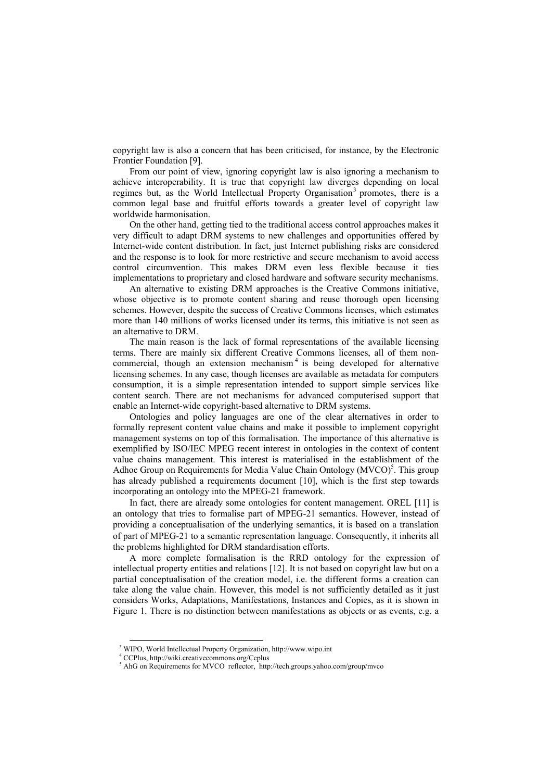copyright law is also a concern that has been criticised, for instance, by the Electronic Frontier Foundation [9].

From our point of view, ignoring copyright law is also ignoring a mechanism to achieve interoperability. It is true that copyright law diverges depending on local regimes but, as the World Intellectual Property Organisation<sup>3</sup> promotes, there is a common legal base and fruitful efforts towards a greater level of copyright law worldwide harmonisation.

On the other hand, getting tied to the traditional access control approaches makes it very difficult to adapt DRM systems to new challenges and opportunities offered by Internet-wide content distribution. In fact, just Internet publishing risks are considered and the response is to look for more restrictive and secure mechanism to avoid access control circumvention. This makes DRM even less flexible because it ties implementations to proprietary and closed hardware and software security mechanisms.

An alternative to existing DRM approaches is the Creative Commons initiative, whose objective is to promote content sharing and reuse thorough open licensing schemes. However, despite the success of Creative Commons licenses, which estimates more than 140 millions of works licensed under its terms, this initiative is not seen as an alternative to DRM.

The main reason is the lack of formal representations of the available licensing terms. There are mainly six different Creative Commons licenses, all of them noncommercial, though an extension mechanism<sup>4</sup> is being developed for alternative licensing schemes. In any case, though licenses are available as metadata for computers consumption, it is a simple representation intended to support simple services like content search. There are not mechanisms for advanced computerised support that enable an Internet-wide copyright-based alternative to DRM systems.

Ontologies and policy languages are one of the clear alternatives in order to formally represent content value chains and make it possible to implement copyright management systems on top of this formalisation. The importance of this alternative is exemplified by ISO/IEC MPEG recent interest in ontologies in the context of content value chains management. This interest is materialised in the establishment of the Adhoc Group on Requirements for Media Value Chain Ontology  $(MVCO)^5$ . This group has already published a requirements document [10], which is the first step towards incorporating an ontology into the MPEG-21 framework.

In fact, there are already some ontologies for content management. OREL [11] is an ontology that tries to formalise part of MPEG-21 semantics. However, instead of providing a conceptualisation of the underlying semantics, it is based on a translation of part of MPEG-21 to a semantic representation language. Consequently, it inherits all the problems highlighted for DRM standardisation efforts.

A more complete formalisation is the RRD ontology for the expression of intellectual property entities and relations [12]. It is not based on copyright law but on a partial conceptualisation of the creation model, i.e. the different forms a creation can take along the value chain. However, this model is not sufficiently detailed as it just considers Works, Adaptations, Manifestations, Instances and Copies, as it is shown in Figure 1. There is no distinction between manifestations as objects or as events, e.g. a

 <sup>3</sup> WIPO, World Intellectual Property Organization, http://www.wipo.int

<sup>4</sup> CCPlus, http://wiki.creativecommons.org/Ccplus

<sup>&</sup>lt;sup>5</sup> AhG on Requirements for MVCO reflector, http://tech.groups.yahoo.com/group/mvco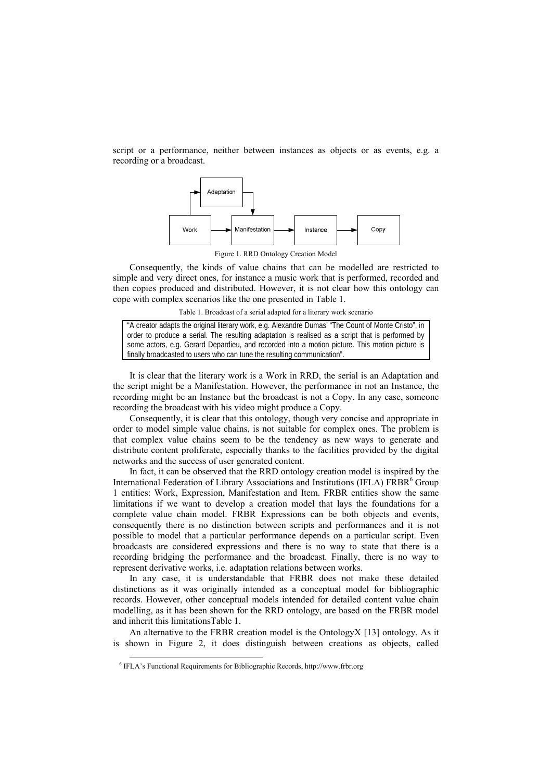script or a performance, neither between instances as objects or as events, e.g. a recording or a broadcast.



Figure 1. RRD Ontology Creation Model

Consequently, the kinds of value chains that can be modelled are restricted to simple and very direct ones, for instance a music work that is performed, recorded and then copies produced and distributed. However, it is not clear how this ontology can cope with complex scenarios like the one presented in Table 1.

Table 1. Broadcast of a serial adapted for a literary work scenario

| "A creator adapts the original literary work, e.g. Alexandre Dumas' "The Count of Monte Cristo", in |
|-----------------------------------------------------------------------------------------------------|
|                                                                                                     |
| order to produce a serial. The resulting adaptation is realised as a script that is performed by    |
| some actors, e.g. Gerard Depardieu, and recorded into a motion picture. This motion picture is      |
| finally broadcasted to users who can tune the resulting communication".                             |

It is clear that the literary work is a Work in RRD, the serial is an Adaptation and the script might be a Manifestation. However, the performance in not an Instance, the recording might be an Instance but the broadcast is not a Copy. In any case, someone recording the broadcast with his video might produce a Copy.

Consequently, it is clear that this ontology, though very concise and appropriate in order to model simple value chains, is not suitable for complex ones. The problem is that complex value chains seem to be the tendency as new ways to generate and distribute content proliferate, especially thanks to the facilities provided by the digital networks and the success of user generated content.

In fact, it can be observed that the RRD ontology creation model is inspired by the International Federation of Library Associations and Institutions (IFLA) FRBR<sup>6</sup> Group 1 entities: Work, Expression, Manifestation and Item. FRBR entities show the same limitations if we want to develop a creation model that lays the foundations for a complete value chain model. FRBR Expressions can be both objects and events, consequently there is no distinction between scripts and performances and it is not possible to model that a particular performance depends on a particular script. Even broadcasts are considered expressions and there is no way to state that there is a recording bridging the performance and the broadcast. Finally, there is no way to represent derivative works, i.e. adaptation relations between works.

In any case, it is understandable that FRBR does not make these detailed distinctions as it was originally intended as a conceptual model for bibliographic records. However, other conceptual models intended for detailed content value chain modelling, as it has been shown for the RRD ontology, are based on the FRBR model and inherit this limitationsTable 1.

An alternative to the FRBR creation model is the OntologyX [13] ontology. As it is shown in Figure 2, it does distinguish between creations as objects, called

 <sup>6</sup> IFLA's Functional Requirements for Bibliographic Records, http://www.frbr.org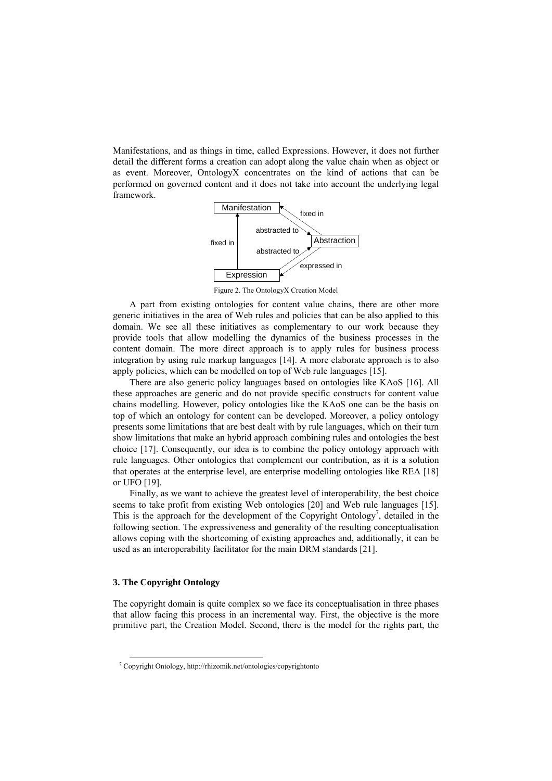Manifestations, and as things in time, called Expressions. However, it does not further detail the different forms a creation can adopt along the value chain when as object or as event. Moreover, OntologyX concentrates on the kind of actions that can be performed on governed content and it does not take into account the underlying legal framework.



Figure 2. The OntologyX Creation Model

A part from existing ontologies for content value chains, there are other more generic initiatives in the area of Web rules and policies that can be also applied to this domain. We see all these initiatives as complementary to our work because they provide tools that allow modelling the dynamics of the business processes in the content domain. The more direct approach is to apply rules for business process integration by using rule markup languages [14]. A more elaborate approach is to also apply policies, which can be modelled on top of Web rule languages [15].

There are also generic policy languages based on ontologies like KAoS [16]. All these approaches are generic and do not provide specific constructs for content value chains modelling. However, policy ontologies like the KAoS one can be the basis on top of which an ontology for content can be developed. Moreover, a policy ontology presents some limitations that are best dealt with by rule languages, which on their turn show limitations that make an hybrid approach combining rules and ontologies the best choice [17]. Consequently, our idea is to combine the policy ontology approach with rule languages. Other ontologies that complement our contribution, as it is a solution that operates at the enterprise level, are enterprise modelling ontologies like REA [18] or UFO [19].

Finally, as we want to achieve the greatest level of interoperability, the best choice seems to take profit from existing Web ontologies [20] and Web rule languages [15]. This is the approach for the development of the Copyright Ontology<sup>7</sup>, detailed in the following section. The expressiveness and generality of the resulting conceptualisation allows coping with the shortcoming of existing approaches and, additionally, it can be used as an interoperability facilitator for the main DRM standards [21].

### **3. The Copyright Ontology**

The copyright domain is quite complex so we face its conceptualisation in three phases that allow facing this process in an incremental way. First, the objective is the more primitive part, the Creation Model. Second, there is the model for the rights part, the

 <sup>7</sup> Copyright Ontology, http://rhizomik.net/ontologies/copyrightonto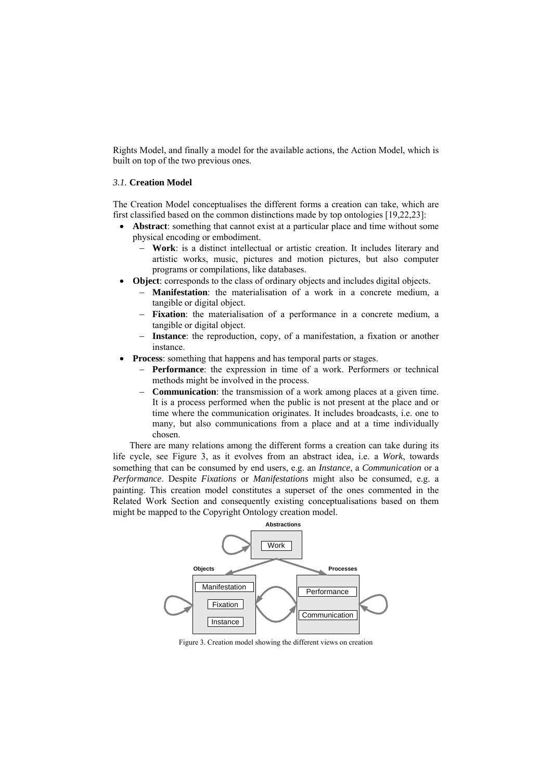Rights Model, and finally a model for the available actions, the Action Model, which is built on top of the two previous ones.

# *3.1.* **Creation Model**

The Creation Model conceptualises the different forms a creation can take, which are first classified based on the common distinctions made by top ontologies [19,22,23]:

- **Abstract**: something that cannot exist at a particular place and time without some physical encoding or embodiment.
	- − **Work**: is a distinct intellectual or artistic creation. It includes literary and artistic works, music, pictures and motion pictures, but also computer programs or compilations, like databases.
- **Object**: corresponds to the class of ordinary objects and includes digital objects.
	- **Manifestation**: the materialisation of a work in a concrete medium, a tangible or digital object.
	- Fixation: the materialisation of a performance in a concrete medium, a tangible or digital object.
	- − **Instance**: the reproduction, copy, of a manifestation, a fixation or another instance.
- **Process**: something that happens and has temporal parts or stages.
	- **Performance**: the expression in time of a work. Performers or technical methods might be involved in the process.
	- **Communication**: the transmission of a work among places at a given time. It is a process performed when the public is not present at the place and or time where the communication originates. It includes broadcasts, i.e. one to many, but also communications from a place and at a time individually chosen.

There are many relations among the different forms a creation can take during its life cycle, see Figure 3, as it evolves from an abstract idea, i.e. a *Work*, towards something that can be consumed by end users, e.g. an *Instance*, a *Communication* or a *Performance*. Despite *Fixations* or *Manifestations* might also be consumed, e.g. a painting. This creation model constitutes a superset of the ones commented in the Related Work Section and consequently existing conceptualisations based on them might be mapped to the Copyright Ontology creation model.



Figure 3. Creation model showing the different views on creation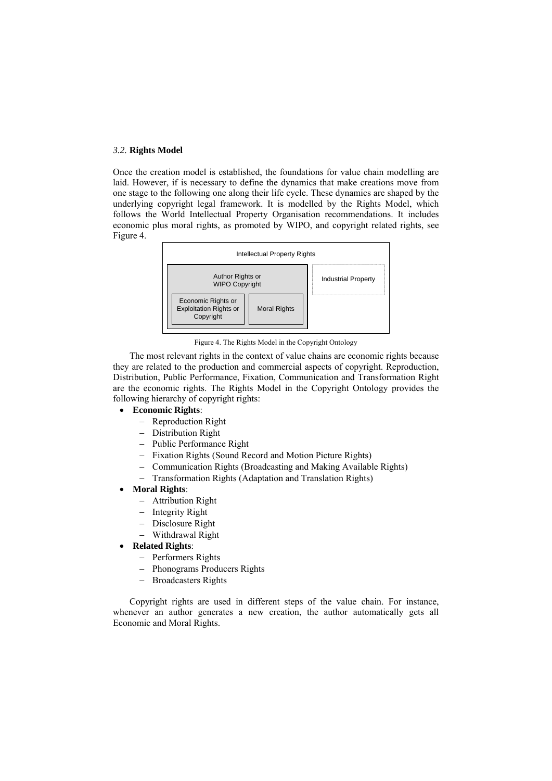# *3.2.* **Rights Model**

Once the creation model is established, the foundations for value chain modelling are laid. However, if is necessary to define the dynamics that make creations move from one stage to the following one along their life cycle. These dynamics are shaped by the underlying copyright legal framework. It is modelled by the Rights Model, which follows the World Intellectual Property Organisation recommendations. It includes economic plus moral rights, as promoted by WIPO, and copyright related rights, see Figure 4.



Figure 4. The Rights Model in the Copyright Ontology

The most relevant rights in the context of value chains are economic rights because they are related to the production and commercial aspects of copyright. Reproduction, Distribution, Public Performance, Fixation, Communication and Transformation Right are the economic rights. The Rights Model in the Copyright Ontology provides the following hierarchy of copyright rights:

# • **Economic Rights**:

- − Reproduction Right
- − Distribution Right
- − Public Performance Right
- − Fixation Rights (Sound Record and Motion Picture Rights)
- − Communication Rights (Broadcasting and Making Available Rights)
- − Transformation Rights (Adaptation and Translation Rights)

# • **Moral Rights**:

- − Attribution Right
- − Integrity Right
- − Disclosure Right
- − Withdrawal Right
- **Related Rights**:
	- − Performers Rights
	- − Phonograms Producers Rights
	- − Broadcasters Rights

Copyright rights are used in different steps of the value chain. For instance, whenever an author generates a new creation, the author automatically gets all Economic and Moral Rights.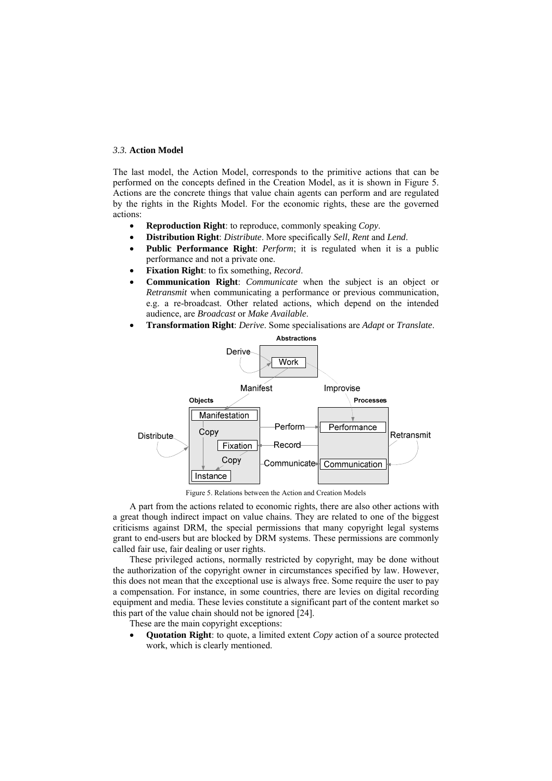#### *3.3.* **Action Model**

The last model, the Action Model, corresponds to the primitive actions that can be performed on the concepts defined in the Creation Model, as it is shown in Figure 5. Actions are the concrete things that value chain agents can perform and are regulated by the rights in the Rights Model. For the economic rights, these are the governed actions:

- **Reproduction Right**: to reproduce, commonly speaking *Copy*.
- **Distribution Right**: *Distribute*. More specifically *Sell*, *Rent* and *Lend*.
- **Public Performance Right**: *Perform*; it is regulated when it is a public performance and not a private one.
- **Fixation Right**: to fix something, *Record*.
- **Communication Right**: *Communicate* when the subject is an object or *Retransmit* when communicating a performance or previous communication, e.g. a re-broadcast. Other related actions, which depend on the intended audience, are *Broadcast* or *Make Available*.
- **Transformation Right**: *Derive*. Some specialisations are *Adapt* or *Translate*.



Figure 5. Relations between the Action and Creation Models

A part from the actions related to economic rights, there are also other actions with a great though indirect impact on value chains. They are related to one of the biggest criticisms against DRM, the special permissions that many copyright legal systems grant to end-users but are blocked by DRM systems. These permissions are commonly called fair use, fair dealing or user rights.

These privileged actions, normally restricted by copyright, may be done without the authorization of the copyright owner in circumstances specified by law. However, this does not mean that the exceptional use is always free. Some require the user to pay a compensation. For instance, in some countries, there are levies on digital recording equipment and media. These levies constitute a significant part of the content market so this part of the value chain should not be ignored [24].

These are the main copyright exceptions:

• **Quotation Right**: to quote, a limited extent *Copy* action of a source protected work, which is clearly mentioned.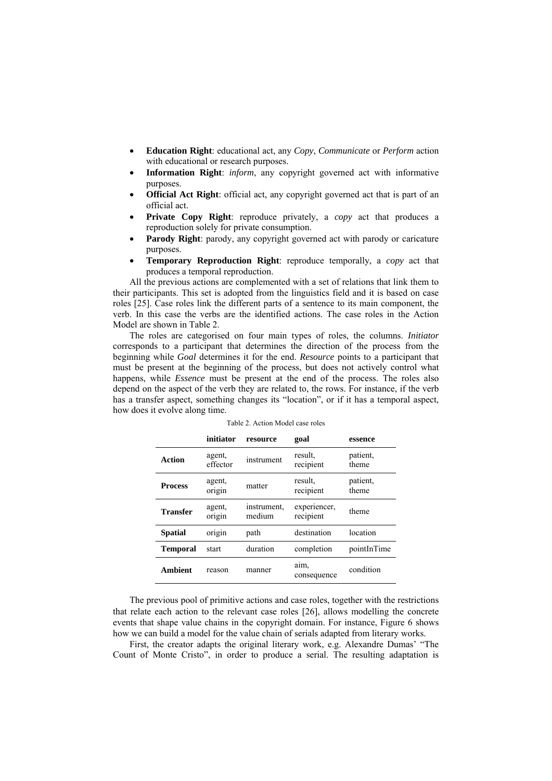- **Education Right**: educational act, any *Copy*, *Communicate* or *Perform* action with educational or research purposes.
- **Information Right**: *inform*, any copyright governed act with informative purposes.
- **Official Act Right**: official act, any copyright governed act that is part of an official act.
- **Private Copy Right**: reproduce privately, a *copy* act that produces a reproduction solely for private consumption.
- Parody Right: parody, any copyright governed act with parody or caricature purposes.
- **Temporary Reproduction Right**: reproduce temporally, a *copy* act that produces a temporal reproduction.

All the previous actions are complemented with a set of relations that link them to their participants. This set is adopted from the linguistics field and it is based on case roles [25]. Case roles link the different parts of a sentence to its main component, the verb. In this case the verbs are the identified actions. The case roles in the Action Model are shown in Table 2.

The roles are categorised on four main types of roles, the columns. *Initiator* corresponds to a participant that determines the direction of the process from the beginning while *Goal* determines it for the end. *Resource* points to a participant that must be present at the beginning of the process, but does not actively control what happens, while *Essence* must be present at the end of the process. The roles also depend on the aspect of the verb they are related to, the rows. For instance, if the verb has a transfer aspect, something changes its "location", or if it has a temporal aspect, how does it evolve along time.

|                 | initiator          | resource              | goal                      | essence           |
|-----------------|--------------------|-----------------------|---------------------------|-------------------|
| Action          | agent,<br>effector | instrument            | result.<br>recipient      | patient,<br>theme |
| <b>Process</b>  | agent,<br>origin   | matter                | result.<br>recipient      | patient,<br>theme |
| <b>Transfer</b> | agent,<br>origin   | instrument.<br>medium | experiencer,<br>recipient | theme             |
| <b>Spatial</b>  | origin             | path                  | destination               | location          |
| <b>Temporal</b> | start              | duration              | completion                | pointInTime       |
| Ambient         | reason             | manner                | aim,<br>consequence       | condition         |

Table 2. Action Model case roles

The previous pool of primitive actions and case roles, together with the restrictions that relate each action to the relevant case roles [26], allows modelling the concrete events that shape value chains in the copyright domain. For instance, Figure 6 shows how we can build a model for the value chain of serials adapted from literary works.

First, the creator adapts the original literary work, e.g. Alexandre Dumas' "The Count of Monte Cristo", in order to produce a serial. The resulting adaptation is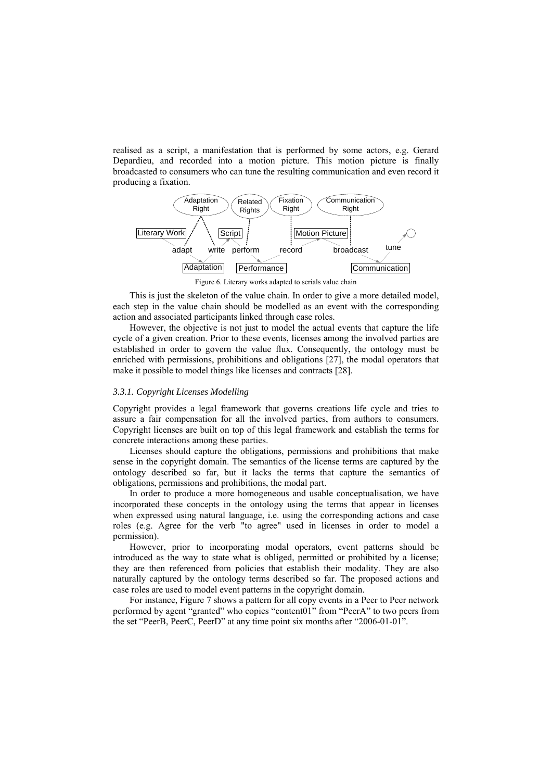realised as a script, a manifestation that is performed by some actors, e.g. Gerard Depardieu, and recorded into a motion picture. This motion picture is finally broadcasted to consumers who can tune the resulting communication and even record it producing a fixation.



Figure 6. Literary works adapted to serials value chain

This is just the skeleton of the value chain. In order to give a more detailed model, each step in the value chain should be modelled as an event with the corresponding action and associated participants linked through case roles.

However, the objective is not just to model the actual events that capture the life cycle of a given creation. Prior to these events, licenses among the involved parties are established in order to govern the value flux. Consequently, the ontology must be enriched with permissions, prohibitions and obligations [27], the modal operators that make it possible to model things like licenses and contracts [28].

# *3.3.1. Copyright Licenses Modelling*

Copyright provides a legal framework that governs creations life cycle and tries to assure a fair compensation for all the involved parties, from authors to consumers. Copyright licenses are built on top of this legal framework and establish the terms for concrete interactions among these parties.

Licenses should capture the obligations, permissions and prohibitions that make sense in the copyright domain. The semantics of the license terms are captured by the ontology described so far, but it lacks the terms that capture the semantics of obligations, permissions and prohibitions, the modal part.

In order to produce a more homogeneous and usable conceptualisation, we have incorporated these concepts in the ontology using the terms that appear in licenses when expressed using natural language, i.e. using the corresponding actions and case roles (e.g. Agree for the verb "to agree" used in licenses in order to model a permission).

However, prior to incorporating modal operators, event patterns should be introduced as the way to state what is obliged, permitted or prohibited by a license; they are then referenced from policies that establish their modality. They are also naturally captured by the ontology terms described so far. The proposed actions and case roles are used to model event patterns in the copyright domain.

For instance, Figure 7 shows a pattern for all copy events in a Peer to Peer network performed by agent "granted" who copies "content01" from "PeerA" to two peers from the set "PeerB, PeerC, PeerD" at any time point six months after "2006-01-01".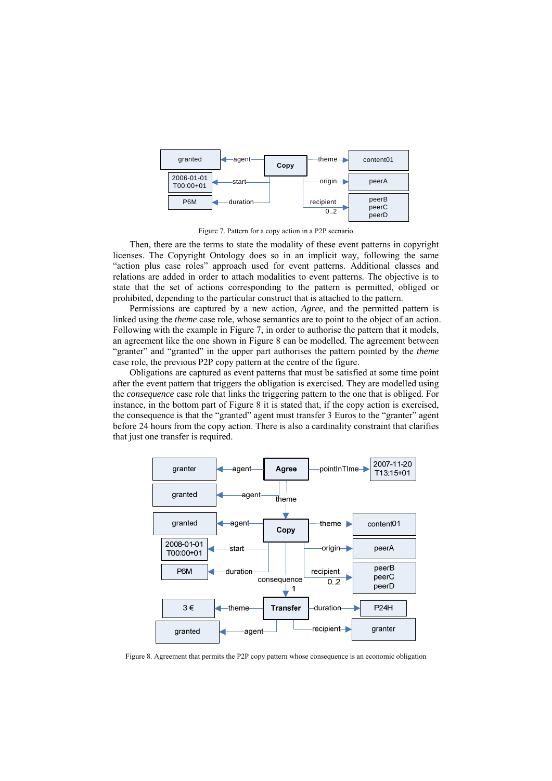

Figure 7. Pattern for a copy action in a P2P scenario

Then, there are the terms to state the modality of these event patterns in copyright licenses. The Copyright Ontology does so in an implicit way, following the same "action plus case roles" approach used for event patterns. Additional classes and relations are added in order to attach modalities to event patterns. The objective is to state that the set of actions corresponding to the pattern is permitted, obliged or prohibited, depending to the particular construct that is attached to the pattern.

Permissions are captured by a new action, *Agree*, and the permitted pattern is linked using the *theme* case role, whose semantics are to point to the object of an action. Following with the example in Figure 7, in order to authorise the pattern that it models, an agreement like the one shown in Figure 8 can be modelled. The agreement between "granter" and "granted" in the upper part authorises the pattern pointed by the *theme* case role, the previous P2P copy pattern at the centre of the figure.

Obligations are captured as event patterns that must be satisfied at some time point after the event pattern that triggers the obligation is exercised. They are modelled using the *consequence* case role that links the triggering pattern to the one that is obliged. For instance, in the bottom part of Figure 8 it is stated that, if the copy action is exercised, the consequence is that the "granted" agent must transfer 3 Euros to the "granter" agent before 24 hours from the copy action. There is also a cardinality constraint that clarifies that just one transfer is required.



Figure 8. Agreement that permits the P2P copy pattern whose consequence is an economic obligation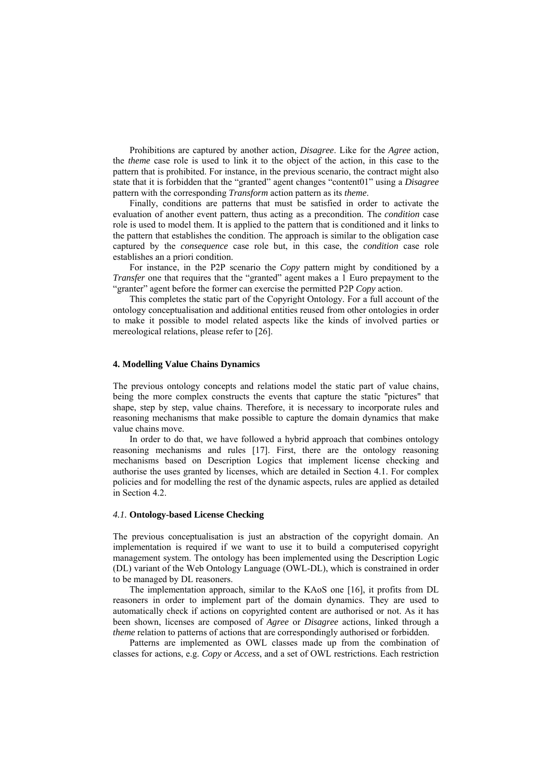Prohibitions are captured by another action, *Disagree*. Like for the *Agree* action, the *theme* case role is used to link it to the object of the action, in this case to the pattern that is prohibited. For instance, in the previous scenario, the contract might also state that it is forbidden that the "granted" agent changes "content01" using a *Disagree* pattern with the corresponding *Transform* action pattern as its *theme*.

Finally, conditions are patterns that must be satisfied in order to activate the evaluation of another event pattern, thus acting as a precondition. The *condition* case role is used to model them. It is applied to the pattern that is conditioned and it links to the pattern that establishes the condition. The approach is similar to the obligation case captured by the *consequence* case role but, in this case, the *condition* case role establishes an a priori condition.

For instance, in the P2P scenario the *Copy* pattern might by conditioned by a *Transfer* one that requires that the "granted" agent makes a 1 Euro prepayment to the "granter" agent before the former can exercise the permitted P2P *Copy* action.

This completes the static part of the Copyright Ontology. For a full account of the ontology conceptualisation and additional entities reused from other ontologies in order to make it possible to model related aspects like the kinds of involved parties or mereological relations, please refer to [26].

#### **4. Modelling Value Chains Dynamics**

The previous ontology concepts and relations model the static part of value chains, being the more complex constructs the events that capture the static ''pictures" that shape, step by step, value chains. Therefore, it is necessary to incorporate rules and reasoning mechanisms that make possible to capture the domain dynamics that make value chains move.

In order to do that, we have followed a hybrid approach that combines ontology reasoning mechanisms and rules [17]. First, there are the ontology reasoning mechanisms based on Description Logics that implement license checking and authorise the uses granted by licenses, which are detailed in Section 4.1. For complex policies and for modelling the rest of the dynamic aspects, rules are applied as detailed in Section 4.2.

#### *4.1.* **Ontology-based License Checking**

The previous conceptualisation is just an abstraction of the copyright domain. An implementation is required if we want to use it to build a computerised copyright management system. The ontology has been implemented using the Description Logic (DL) variant of the Web Ontology Language (OWL-DL), which is constrained in order to be managed by DL reasoners.

The implementation approach, similar to the KAoS one [16], it profits from DL reasoners in order to implement part of the domain dynamics. They are used to automatically check if actions on copyrighted content are authorised or not. As it has been shown, licenses are composed of *Agree* or *Disagree* actions, linked through a *theme* relation to patterns of actions that are correspondingly authorised or forbidden.

Patterns are implemented as OWL classes made up from the combination of classes for actions, e.g. *Copy* or *Access*, and a set of OWL restrictions. Each restriction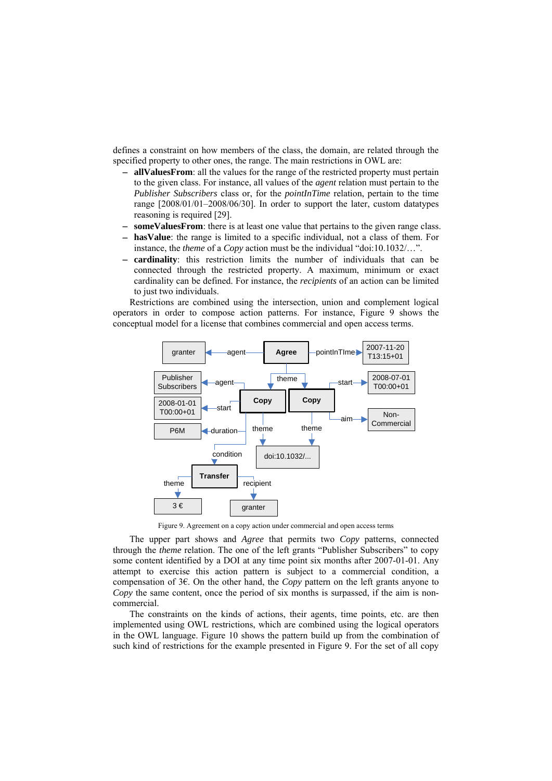defines a constraint on how members of the class, the domain, are related through the specified property to other ones, the range. The main restrictions in OWL are:

- − **allValuesFrom**: all the values for the range of the restricted property must pertain to the given class. For instance, all values of the *agent* relation must pertain to the *Publisher Subscribers* class or, for the *pointInTime* relation, pertain to the time range [2008/01/01–2008/06/30]. In order to support the later, custom datatypes reasoning is required [29].
- − **someValuesFrom**: there is at least one value that pertains to the given range class.
- has Value: the range is limited to a specific individual, not a class of them. For instance, the *theme* of a *Copy* action must be the individual "doi:10.1032/…".
- − **cardinality**: this restriction limits the number of individuals that can be connected through the restricted property. A maximum, minimum or exact cardinality can be defined. For instance, the *recipients* of an action can be limited to just two individuals.

Restrictions are combined using the intersection, union and complement logical operators in order to compose action patterns. For instance, Figure 9 shows the conceptual model for a license that combines commercial and open access terms.



Figure 9. Agreement on a copy action under commercial and open access terms

The upper part shows and *Agree* that permits two *Copy* patterns, connected through the *theme* relation. The one of the left grants "Publisher Subscribers" to copy some content identified by a DOI at any time point six months after 2007-01-01. Any attempt to exercise this action pattern is subject to a commercial condition, a compensation of 3€. On the other hand, the *Copy* pattern on the left grants anyone to *Copy* the same content, once the period of six months is surpassed, if the aim is noncommercial.

The constraints on the kinds of actions, their agents, time points, etc. are then implemented using OWL restrictions, which are combined using the logical operators in the OWL language. Figure 10 shows the pattern build up from the combination of such kind of restrictions for the example presented in Figure 9. For the set of all copy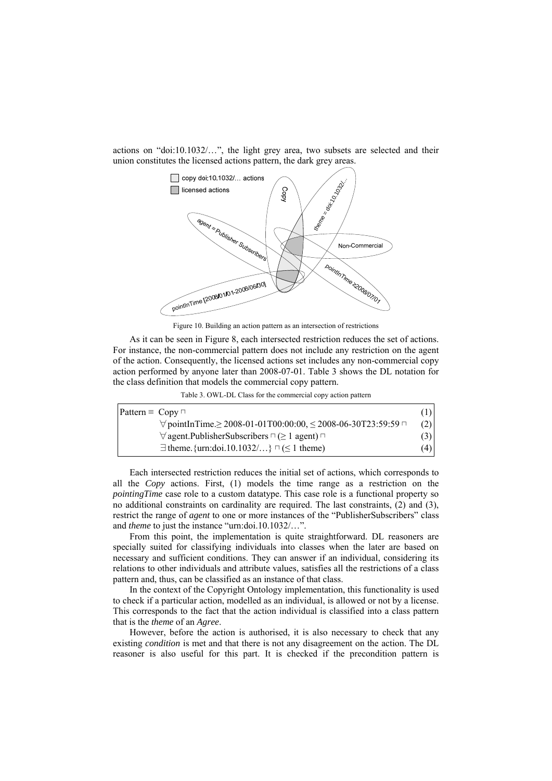actions on "doi:10.1032/…", the light grey area, two subsets are selected and their union constitutes the licensed actions pattern, the dark grey areas.



Figure 10. Building an action pattern as an intersection of restrictions

As it can be seen in Figure 8, each intersected restriction reduces the set of actions. For instance, the non-commercial pattern does not include any restriction on the agent of the action. Consequently, the licensed actions set includes any non-commercial copy action performed by anyone later than 2008-07-01. Table 3 shows the DL notation for the class definition that models the commercial copy pattern.

Table 3. OWL-DL Class for the commercial copy action pattern

| Pattern $\equiv$ Copy $\Box$                                                          |     |
|---------------------------------------------------------------------------------------|-----|
| $\forall$ point In Time $\geq$ 2008-01-01T00:00:00, $\leq$ 2008-06-30T23:59:59 $\Box$ | (2) |
| $\forall$ agent. Publisher Subscribers $\Box$ ( $\geq$ 1 agent) $\Box$                | (3) |
| $\exists$ theme. {urn:doi.10.1032/} $\Box$ ( $\leq$ 1 theme)                          | (4) |

Each intersected restriction reduces the initial set of actions, which corresponds to all the *Copy* actions. First, (1) models the time range as a restriction on the *pointingTime* case role to a custom datatype. This case role is a functional property so no additional constraints on cardinality are required. The last constraints, (2) and (3), restrict the range of *agent* to one or more instances of the "PublisherSubscribers" class and *theme* to just the instance "urn:doi.10.1032/…".

From this point, the implementation is quite straightforward. DL reasoners are specially suited for classifying individuals into classes when the later are based on necessary and sufficient conditions. They can answer if an individual, considering its relations to other individuals and attribute values, satisfies all the restrictions of a class pattern and, thus, can be classified as an instance of that class.

In the context of the Copyright Ontology implementation, this functionality is used to check if a particular action, modelled as an individual, is allowed or not by a license. This corresponds to the fact that the action individual is classified into a class pattern that is the *theme* of an *Agree*.

However, before the action is authorised, it is also necessary to check that any existing *condition* is met and that there is not any disagreement on the action. The DL reasoner is also useful for this part. It is checked if the precondition pattern is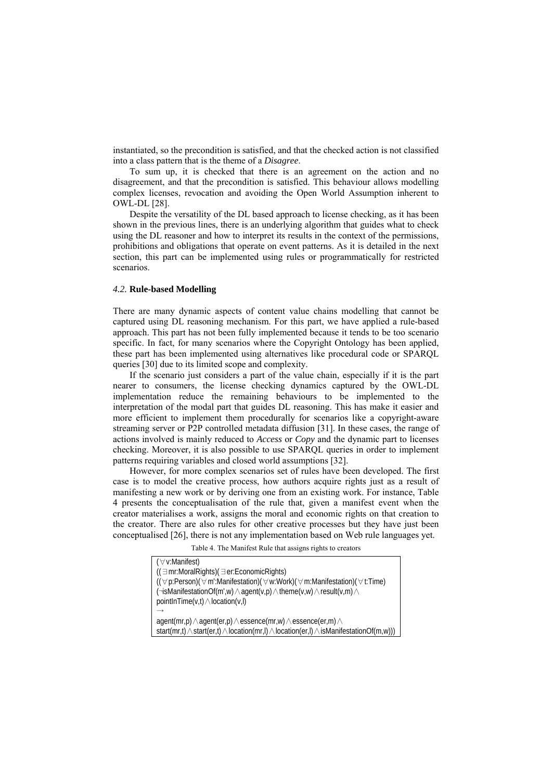instantiated, so the precondition is satisfied, and that the checked action is not classified into a class pattern that is the theme of a *Disagree*.

To sum up, it is checked that there is an agreement on the action and no disagreement, and that the precondition is satisfied. This behaviour allows modelling complex licenses, revocation and avoiding the Open World Assumption inherent to OWL-DL [28].

Despite the versatility of the DL based approach to license checking, as it has been shown in the previous lines, there is an underlying algorithm that guides what to check using the DL reasoner and how to interpret its results in the context of the permissions, prohibitions and obligations that operate on event patterns. As it is detailed in the next section, this part can be implemented using rules or programmatically for restricted scenarios.

# *4.2.* **Rule-based Modelling**

There are many dynamic aspects of content value chains modelling that cannot be captured using DL reasoning mechanism. For this part, we have applied a rule-based approach. This part has not been fully implemented because it tends to be too scenario specific. In fact, for many scenarios where the Copyright Ontology has been applied, these part has been implemented using alternatives like procedural code or SPARQL queries [30] due to its limited scope and complexity.

If the scenario just considers a part of the value chain, especially if it is the part nearer to consumers, the license checking dynamics captured by the OWL-DL implementation reduce the remaining behaviours to be implemented to the interpretation of the modal part that guides DL reasoning. This has make it easier and more efficient to implement them procedurally for scenarios like a copyright-aware streaming server or P2P controlled metadata diffusion [31]. In these cases, the range of actions involved is mainly reduced to *Access* or *Copy* and the dynamic part to licenses checking. Moreover, it is also possible to use SPARQL queries in order to implement patterns requiring variables and closed world assumptions [32].

However, for more complex scenarios set of rules have been developed. The first case is to model the creative process, how authors acquire rights just as a result of manifesting a new work or by deriving one from an existing work. For instance, Table 4 presents the conceptualisation of the rule that, given a manifest event when the creator materialises a work, assigns the moral and economic rights on that creation to the creator. There are also rules for other creative processes but they have just been conceptualised [26], there is not any implementation based on Web rule languages yet.

Table 4. The Manifest Rule that assigns rights to creators

| $(\forall v$ :Manifest)                                                                                        |
|----------------------------------------------------------------------------------------------------------------|
| $((\exists mr:NormalRights)(\exists er:EconomicRights))$                                                       |
| $((\forall p:Person)(\forall m':Mainfestation)(\forall w:Work)(\forall m:Mainfestation)(\forall t:Time)$       |
| $\pi$ = isManifestationOf(m',w) $\wedge$ agent(v,p) $\wedge$ theme(v,w) $\wedge$ result(v,m) $\wedge$          |
| pointlnTime(v,t) $\wedge$ location(v,l)                                                                        |
|                                                                                                                |
| $a$ gent(mr,p) $\wedge$ agent(er,p) $\wedge$ essence(mr,w) $\wedge$ essence(er,m) $\wedge$                     |
| start(mr,t) $\land$ start(er,t) $\land$ location(mr,l) $\land$ location(er,l) $\land$ isManifestationOf(m,w))) |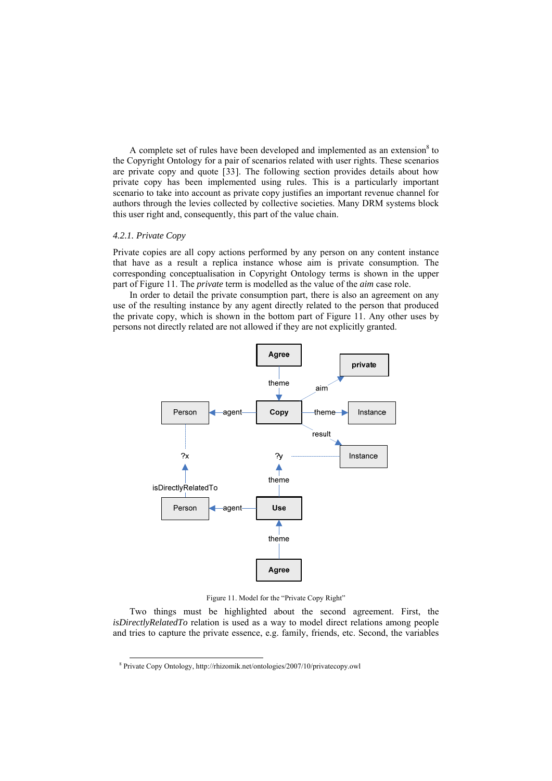A complete set of rules have been developed and implemented as an extension $8$  to the Copyright Ontology for a pair of scenarios related with user rights. These scenarios are private copy and quote [33]. The following section provides details about how private copy has been implemented using rules. This is a particularly important scenario to take into account as private copy justifies an important revenue channel for authors through the levies collected by collective societies. Many DRM systems block this user right and, consequently, this part of the value chain.

#### *4.2.1. Private Copy*

Private copies are all copy actions performed by any person on any content instance that have as a result a replica instance whose aim is private consumption. The corresponding conceptualisation in Copyright Ontology terms is shown in the upper part of Figure 11. The *private* term is modelled as the value of the *aim* case role.

In order to detail the private consumption part, there is also an agreement on any use of the resulting instance by any agent directly related to the person that produced the private copy, which is shown in the bottom part of Figure 11. Any other uses by persons not directly related are not allowed if they are not explicitly granted.



Figure 11. Model for the "Private Copy Right"

Two things must be highlighted about the second agreement. First, the *isDirectlyRelatedTo* relation is used as a way to model direct relations among people and tries to capture the private essence, e.g. family, friends, etc. Second, the variables

 <sup>8</sup> Private Copy Ontology, http://rhizomik.net/ontologies/2007/10/privatecopy.owl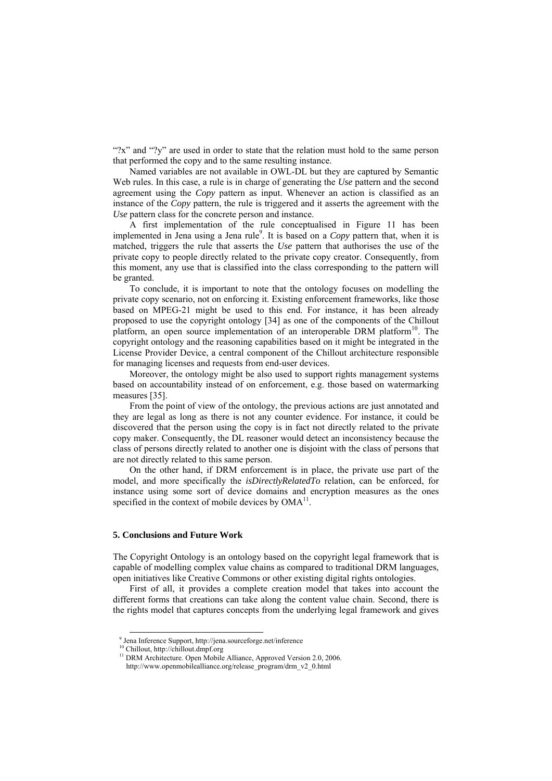" $'$ "x" and " $'$ "y" are used in order to state that the relation must hold to the same person that performed the copy and to the same resulting instance.

Named variables are not available in OWL-DL but they are captured by Semantic Web rules. In this case, a rule is in charge of generating the *Use* pattern and the second agreement using the *Copy* pattern as input. Whenever an action is classified as an instance of the *Copy* pattern, the rule is triggered and it asserts the agreement with the *Use* pattern class for the concrete person and instance.

A first implementation of the rule conceptualised in Figure 11 has been implemented in Jena using a Jena rule<sup>9</sup>. It is based on a *Copy* pattern that, when it is matched, triggers the rule that asserts the *Use* pattern that authorises the use of the private copy to people directly related to the private copy creator. Consequently, from this moment, any use that is classified into the class corresponding to the pattern will be granted.

To conclude, it is important to note that the ontology focuses on modelling the private copy scenario, not on enforcing it. Existing enforcement frameworks, like those based on MPEG-21 might be used to this end. For instance, it has been already proposed to use the copyright ontology [34] as one of the components of the Chillout platform, an open source implementation of an interoperable DRM platform<sup>10</sup>. The copyright ontology and the reasoning capabilities based on it might be integrated in the License Provider Device, a central component of the Chillout architecture responsible for managing licenses and requests from end-user devices.

Moreover, the ontology might be also used to support rights management systems based on accountability instead of on enforcement, e.g. those based on watermarking measures [35].

From the point of view of the ontology, the previous actions are just annotated and they are legal as long as there is not any counter evidence. For instance, it could be discovered that the person using the copy is in fact not directly related to the private copy maker. Consequently, the DL reasoner would detect an inconsistency because the class of persons directly related to another one is disjoint with the class of persons that are not directly related to this same person.

On the other hand, if DRM enforcement is in place, the private use part of the model, and more specifically the *isDirectlyRelatedTo* relation, can be enforced, for instance using some sort of device domains and encryption measures as the ones specified in the context of mobile devices by  $OMA<sup>11</sup>$ .

#### **5. Conclusions and Future Work**

The Copyright Ontology is an ontology based on the copyright legal framework that is capable of modelling complex value chains as compared to traditional DRM languages, open initiatives like Creative Commons or other existing digital rights ontologies.

First of all, it provides a complete creation model that takes into account the different forms that creations can take along the content value chain. Second, there is the rights model that captures concepts from the underlying legal framework and gives

 $\frac{1}{9}$  I<sub>or</sub> <sup>9</sup> Jena Inference Support, http://jena.sourceforge.net/inference  $10$  Chillout, http://chillout.dmpf.org

<sup>&</sup>lt;sup>11</sup> DRM Architecture. Open Mobile Alliance, Approved Version 2.0, 2006. http://www.openmobilealliance.org/release\_program/drm\_v2\_0.html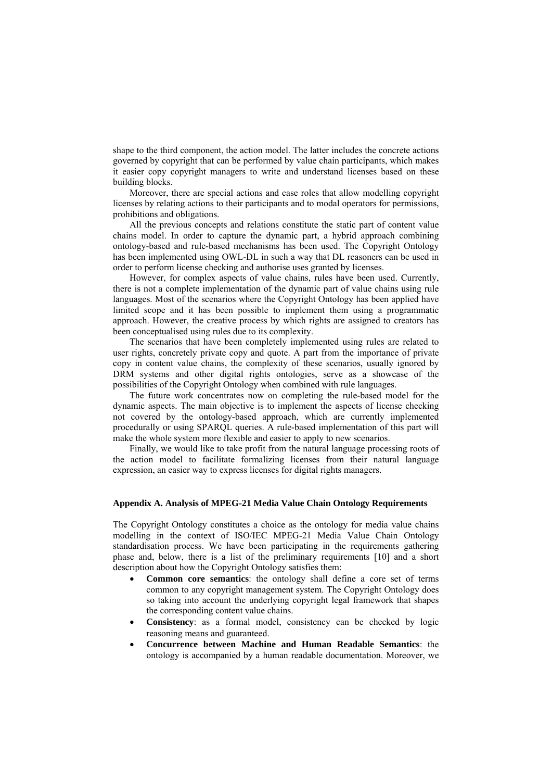shape to the third component, the action model. The latter includes the concrete actions governed by copyright that can be performed by value chain participants, which makes it easier copy copyright managers to write and understand licenses based on these building blocks.

Moreover, there are special actions and case roles that allow modelling copyright licenses by relating actions to their participants and to modal operators for permissions, prohibitions and obligations.

All the previous concepts and relations constitute the static part of content value chains model. In order to capture the dynamic part, a hybrid approach combining ontology-based and rule-based mechanisms has been used. The Copyright Ontology has been implemented using OWL-DL in such a way that DL reasoners can be used in order to perform license checking and authorise uses granted by licenses.

However, for complex aspects of value chains, rules have been used. Currently, there is not a complete implementation of the dynamic part of value chains using rule languages. Most of the scenarios where the Copyright Ontology has been applied have limited scope and it has been possible to implement them using a programmatic approach. However, the creative process by which rights are assigned to creators has been conceptualised using rules due to its complexity.

The scenarios that have been completely implemented using rules are related to user rights, concretely private copy and quote. A part from the importance of private copy in content value chains, the complexity of these scenarios, usually ignored by DRM systems and other digital rights ontologies, serve as a showcase of the possibilities of the Copyright Ontology when combined with rule languages.

The future work concentrates now on completing the rule-based model for the dynamic aspects. The main objective is to implement the aspects of license checking not covered by the ontology-based approach, which are currently implemented procedurally or using SPARQL queries. A rule-based implementation of this part will make the whole system more flexible and easier to apply to new scenarios.

Finally, we would like to take profit from the natural language processing roots of the action model to facilitate formalizing licenses from their natural language expression, an easier way to express licenses for digital rights managers.

## **Appendix A. Analysis of MPEG-21 Media Value Chain Ontology Requirements**

The Copyright Ontology constitutes a choice as the ontology for media value chains modelling in the context of ISO/IEC MPEG-21 Media Value Chain Ontology standardisation process. We have been participating in the requirements gathering phase and, below, there is a list of the preliminary requirements [10] and a short description about how the Copyright Ontology satisfies them:

- **Common core semantics**: the ontology shall define a core set of terms common to any copyright management system. The Copyright Ontology does so taking into account the underlying copyright legal framework that shapes the corresponding content value chains.
- **Consistency**: as a formal model, consistency can be checked by logic reasoning means and guaranteed.
- **Concurrence between Machine and Human Readable Semantics**: the ontology is accompanied by a human readable documentation. Moreover, we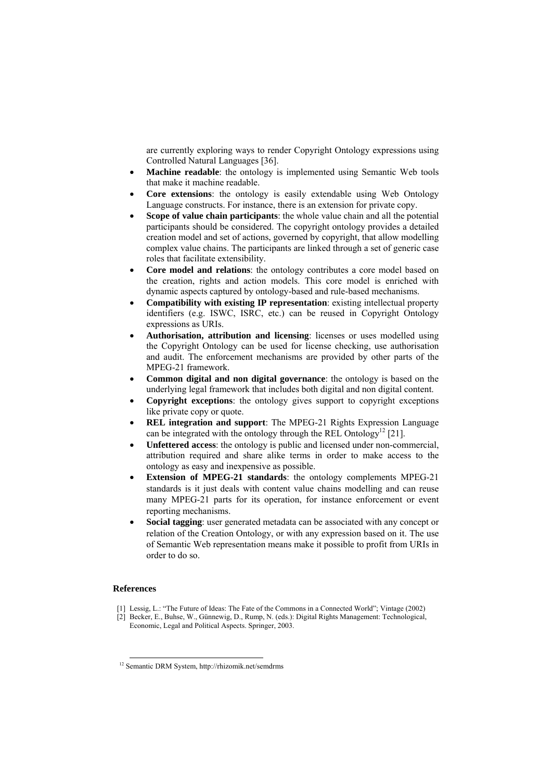are currently exploring ways to render Copyright Ontology expressions using Controlled Natural Languages [36].

- **Machine readable**: the ontology is implemented using Semantic Web tools that make it machine readable.
- **Core extensions**: the ontology is easily extendable using Web Ontology Language constructs. For instance, there is an extension for private copy.
- **Scope of value chain participants**: the whole value chain and all the potential participants should be considered. The copyright ontology provides a detailed creation model and set of actions, governed by copyright, that allow modelling complex value chains. The participants are linked through a set of generic case roles that facilitate extensibility.
- **Core model and relations**: the ontology contributes a core model based on the creation, rights and action models. This core model is enriched with dynamic aspects captured by ontology-based and rule-based mechanisms.
- **Compatibility with existing IP representation**: existing intellectual property identifiers (e.g. ISWC, ISRC, etc.) can be reused in Copyright Ontology expressions as URIs.
- **Authorisation, attribution and licensing**: licenses or uses modelled using the Copyright Ontology can be used for license checking, use authorisation and audit. The enforcement mechanisms are provided by other parts of the MPEG-21 framework.
- **Common digital and non digital governance**: the ontology is based on the underlying legal framework that includes both digital and non digital content.
- **Copyright exceptions**: the ontology gives support to copyright exceptions like private copy or quote.
- **REL integration and support**: The MPEG-21 Rights Expression Language can be integrated with the ontology through the REL Ontology<sup>12</sup> [21].
- **Unfettered access**: the ontology is public and licensed under non-commercial, attribution required and share alike terms in order to make access to the ontology as easy and inexpensive as possible.
- **Extension of MPEG-21 standards**: the ontology complements MPEG-21 standards is it just deals with content value chains modelling and can reuse many MPEG-21 parts for its operation, for instance enforcement or event reporting mechanisms.
- **Social tagging**: user generated metadata can be associated with any concept or relation of the Creation Ontology, or with any expression based on it. The use of Semantic Web representation means make it possible to profit from URIs in order to do so.

# **References**

- [1] Lessig, L.: "The Future of Ideas: The Fate of the Commons in a Connected World"; Vintage (2002)
- [2] Becker, E., Buhse, W., Günnewig, D., Rump, N. (eds.): Digital Rights Management: Technological, Economic, Legal and Political Aspects. Springer, 2003.

 <sup>12</sup> Semantic DRM System, http://rhizomik.net/semdrms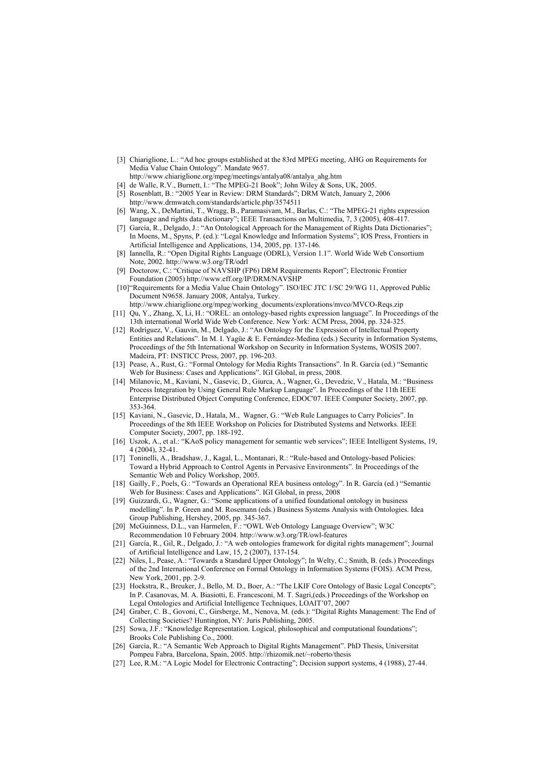[3] Chiariglione, L.: "Ad hoc groups established at the 83rd MPEG meeting, AHG on Requirements for Media Value Chain Ontology". Mandate 9657.

http://www.chiariglione.org/mpeg/meetings/antalya08/antalya\_ahg.htm

- [4] de Walle, R.V., Burnett, I.: "The MPEG-21 Book"; John Wiley & Sons, UK, 2005.
- [5] Rosenblatt, B.: "2005 Year in Review: DRM Standards"; DRM Watch, January 2, 2006 http://www.drmwatch.com/standards/article.php/3574511
- [6] Wang, X., DeMartini, T., Wragg, B., Paramasivam, M., Barlas, C.: "The MPEG-21 rights expression language and rights data dictionary"; IEEE Transactions on Multimedia, 7, 3 (2005), 408-417.
- [7] García, R., Delgado, J.: "An Ontological Approach for the Management of Rights Data Dictionaries"; In Moens, M., Spyns, P. (ed.): "Legal Knowledge and Information Systems"; IOS Press, Frontiers in Artificial Intelligence and Applications, 134, 2005, pp. 137-146.
- [8] Iannella, R.: "Open Digital Rights Language (ODRL), Version 1.1". World Wide Web Consortium Note, 2002. http://www.w3.org/TR/odrl
- [9] Doctorow, C.: "Critique of NAVSHP (FP6) DRM Requirements Report"; Electronic Frontier Foundation (2005) http://www.eff.org/IP/DRM/NAVSHP
- [10] "Requirements for a Media Value Chain Ontology". ISO/IEC JTC 1/SC 29/WG 11, Approved Public Document N9658. January 2008, Antalya, Turkey.
- http://www.chiariglione.org/mpeg/working\_documents/explorations/mvco/MVCO-Reqs.zip [11] Qu, Y., Zhang, X, Li, H.: "OREL: an ontology-based rights expression language". In Proceedings of the 13th international World Wide Web Conference. New York: ACM Press, 2004, pp. 324-325.
- [12] Rodríguez, V., Gauvin, M., Delgado, J.: "An Ontology for the Expression of Intellectual Property Entities and Relations". In M. I. Yagüe & E. Fernández-Medina (eds.) Security in Information Systems, Proceedings of the 5th International Workshop on Security in Information Systems, WOSIS 2007. Madeira, PT: INSTICC Press, 2007, pp. 196-203.
- [13] Pease, A., Rust, G.: "Formal Ontology for Media Rights Transactions". In R. García (ed.) "Semantic Web for Business: Cases and Applications". IGI Global, in press, 2008.
- [14] Milanovic, M., Kaviani, N., Gasevic, D., Giurca, A., Wagner, G., Devedzic, V., Hatala, M.: "Business Process Integration by Using General Rule Markup Language". In Proceedings of the 11th IEEE Enterprise Distributed Object Computing Conference, EDOC'07. IEEE Computer Society, 2007, pp. 353-364.
- [15] Kaviani, N., Gasevic, D., Hatala, M., Wagner, G.: "Web Rule Languages to Carry Policies". In Proceedings of the 8th IEEE Workshop on Policies for Distributed Systems and Networks. IEEE Computer Society, 2007, pp. 188-192.
- [16] Uszok, A., et al.: "KAoS policy management for semantic web services"; IEEE Intelligent Systems, 19, 4 (2004), 32-41.
- [17] Toninelli, A., Bradshaw, J., Kagal, L., Montanari, R.: "Rule-based and Ontology-based Policies: Toward a Hybrid Approach to Control Agents in Pervasive Environments". In Proceedings of the Semantic Web and Policy Workshop, 2005.
- [18] Gailly, F., Poels, G.: "Towards an Operational REA business ontology". In R. García (ed.) "Semantic Web for Business: Cases and Applications". IGI Global, in press, 2008
- [19] Guizzardi, G., Wagner, G.: "Some applications of a unified foundational ontology in business modelling". In P. Green and M. Rosemann (eds.) Business Systems Analysis with Ontologies. Idea Group Publishing, Hershey, 2005, pp. 345-367.
- [20] McGuinness, D.L., van Harmelen, F.: "OWL Web Ontology Language Overview"; W3C Recommendation 10 February 2004. http://www.w3.org/TR/owl-features
- [21] García, R., Gil, R., Delgado, J.: "A web ontologies framework for digital rights management"; Journal of Artificial Intelligence and Law, 15, 2 (2007), 137-154.
- [22] Niles, I., Pease, A.: "Towards a Standard Upper Ontology"; In Welty, C.; Smith, B. (eds.) Proceedings of the 2nd International Conference on Formal Ontology in Information Systems (FOIS). ACM Press, New York, 2001, pp. 2-9.
- [23] Hoekstra, R., Breuker, J., Bello, M. D., Boer, A.: "The LKIF Core Ontology of Basic Legal Concepts"; In P. Casanovas, M. A. Biasiotti, E. Francesconi, M. T. Sagri,(eds.) Proceedings of the Workshop on Legal Ontologies and Artificial Intelligence Techniques, LOAIT'07, 2007
- [24] Graber, C. B., Govoni, C., Girsberge, M., Nenova, M. (eds.): "Digital Rights Management: The End of Collecting Societies? Huntington, NY: Juris Publishing, 2005.
- [25] Sowa, J.F.: "Knowledge Representation. Logical, philosophical and computational foundations"; Brooks Cole Publishing Co., 2000.
- [26] García, R.: "A Semantic Web Approach to Digital Rights Management". PhD Thesis, Universitat Pompeu Fabra, Barcelona, Spain, 2005. http://rhizomik.net/~roberto/thesis
- [27] Lee, R.M.: "A Logic Model for Electronic Contracting"; Decision support systems, 4 (1988), 27-44.